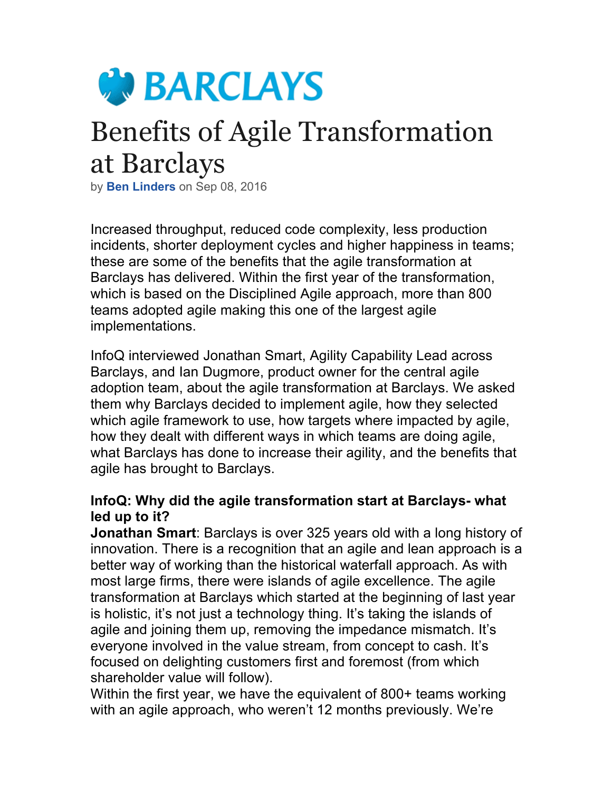

# Benefits of Agile Transformation at Barclays

by **Ben Linders** on Sep 08, 2016

Increased throughput, reduced code complexity, less production incidents, shorter deployment cycles and higher happiness in teams; these are some of the benefits that the agile transformation at Barclays has delivered. Within the first year of the transformation, which is based on the Disciplined Agile approach, more than 800 teams adopted agile making this one of the largest agile implementations.

InfoQ interviewed Jonathan Smart, Agility Capability Lead across Barclays, and Ian Dugmore, product owner for the central agile adoption team, about the agile transformation at Barclays. We asked them why Barclays decided to implement agile, how they selected which agile framework to use, how targets where impacted by agile, how they dealt with different ways in which teams are doing agile, what Barclays has done to increase their agility, and the benefits that agile has brought to Barclays.

### **InfoQ: Why did the agile transformation start at Barclays- what led up to it?**

**Jonathan Smart**: Barclays is over 325 years old with a long history of innovation. There is a recognition that an agile and lean approach is a better way of working than the historical waterfall approach. As with most large firms, there were islands of agile excellence. The agile transformation at Barclays which started at the beginning of last year is holistic, it's not just a technology thing. It's taking the islands of agile and joining them up, removing the impedance mismatch. It's everyone involved in the value stream, from concept to cash. It's focused on delighting customers first and foremost (from which shareholder value will follow).

Within the first year, we have the equivalent of 800+ teams working with an agile approach, who weren't 12 months previously. We're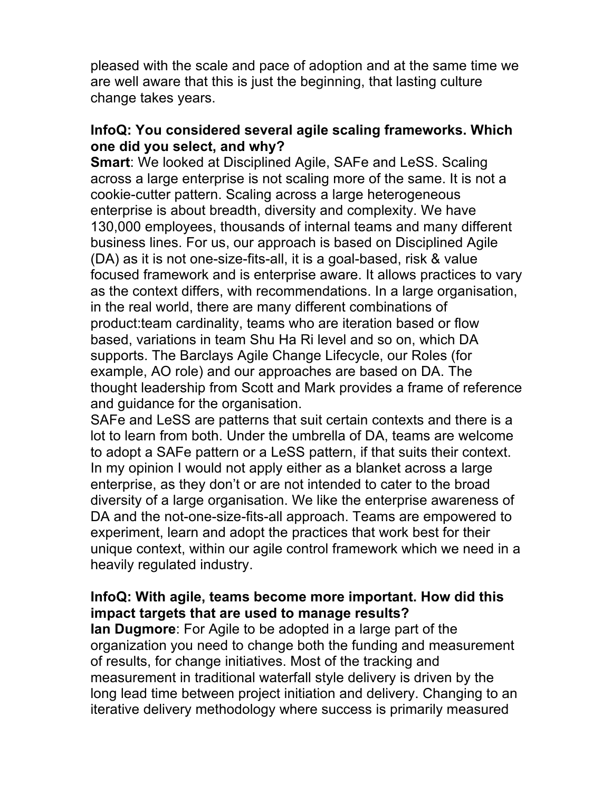pleased with the scale and pace of adoption and at the same time we are well aware that this is just the beginning, that lasting culture change takes years.

### **InfoQ: You considered several agile scaling frameworks. Which one did you select, and why?**

**Smart**: We looked at Disciplined Agile, SAFe and LeSS. Scaling across a large enterprise is not scaling more of the same. It is not a cookie-cutter pattern. Scaling across a large heterogeneous enterprise is about breadth, diversity and complexity. We have 130,000 employees, thousands of internal teams and many different business lines. For us, our approach is based on Disciplined Agile (DA) as it is not one-size-fits-all, it is a goal-based, risk & value focused framework and is enterprise aware. It allows practices to vary as the context differs, with recommendations. In a large organisation, in the real world, there are many different combinations of product:team cardinality, teams who are iteration based or flow based, variations in team Shu Ha Ri level and so on, which DA supports. The Barclays Agile Change Lifecycle, our Roles (for example, AO role) and our approaches are based on DA. The thought leadership from Scott and Mark provides a frame of reference and guidance for the organisation.

SAFe and LeSS are patterns that suit certain contexts and there is a lot to learn from both. Under the umbrella of DA, teams are welcome to adopt a SAFe pattern or a LeSS pattern, if that suits their context. In my opinion I would not apply either as a blanket across a large enterprise, as they don't or are not intended to cater to the broad diversity of a large organisation. We like the enterprise awareness of DA and the not-one-size-fits-all approach. Teams are empowered to experiment, learn and adopt the practices that work best for their unique context, within our agile control framework which we need in a heavily regulated industry.

# **InfoQ: With agile, teams become more important. How did this impact targets that are used to manage results?**

**Ian Dugmore**: For Agile to be adopted in a large part of the organization you need to change both the funding and measurement of results, for change initiatives. Most of the tracking and measurement in traditional waterfall style delivery is driven by the long lead time between project initiation and delivery. Changing to an iterative delivery methodology where success is primarily measured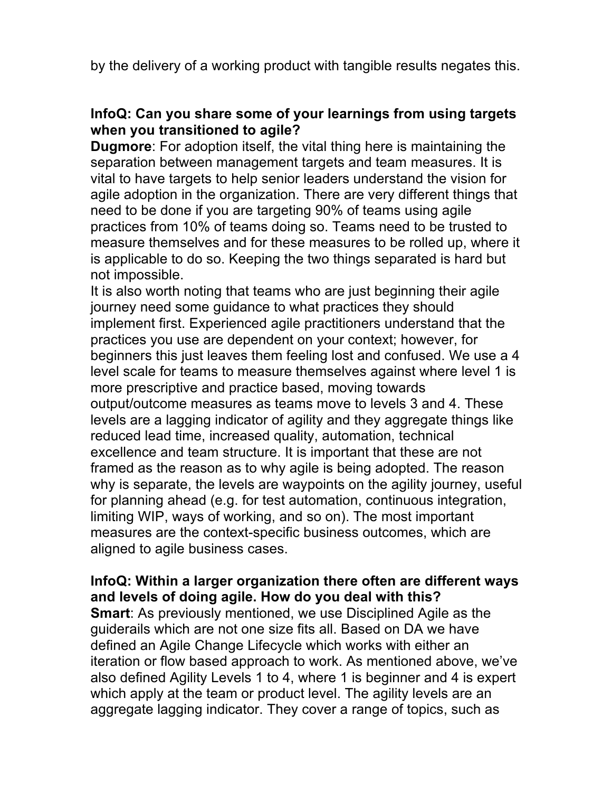by the delivery of a working product with tangible results negates this.

## **InfoQ: Can you share some of your learnings from using targets when you transitioned to agile?**

**Dugmore**: For adoption itself, the vital thing here is maintaining the separation between management targets and team measures. It is vital to have targets to help senior leaders understand the vision for agile adoption in the organization. There are very different things that need to be done if you are targeting 90% of teams using agile practices from 10% of teams doing so. Teams need to be trusted to measure themselves and for these measures to be rolled up, where it is applicable to do so. Keeping the two things separated is hard but not impossible.

It is also worth noting that teams who are just beginning their agile journey need some guidance to what practices they should implement first. Experienced agile practitioners understand that the practices you use are dependent on your context; however, for beginners this just leaves them feeling lost and confused. We use a 4 level scale for teams to measure themselves against where level 1 is more prescriptive and practice based, moving towards output/outcome measures as teams move to levels 3 and 4. These levels are a lagging indicator of agility and they aggregate things like reduced lead time, increased quality, automation, technical excellence and team structure. It is important that these are not framed as the reason as to why agile is being adopted. The reason why is separate, the levels are waypoints on the agility journey, useful for planning ahead (e.g. for test automation, continuous integration, limiting WIP, ways of working, and so on). The most important measures are the context-specific business outcomes, which are aligned to agile business cases.

#### **InfoQ: Within a larger organization there often are different ways and levels of doing agile. How do you deal with this?**

**Smart**: As previously mentioned, we use Disciplined Agile as the guiderails which are not one size fits all. Based on DA we have defined an Agile Change Lifecycle which works with either an iteration or flow based approach to work. As mentioned above, we've also defined Agility Levels 1 to 4, where 1 is beginner and 4 is expert which apply at the team or product level. The agility levels are an aggregate lagging indicator. They cover a range of topics, such as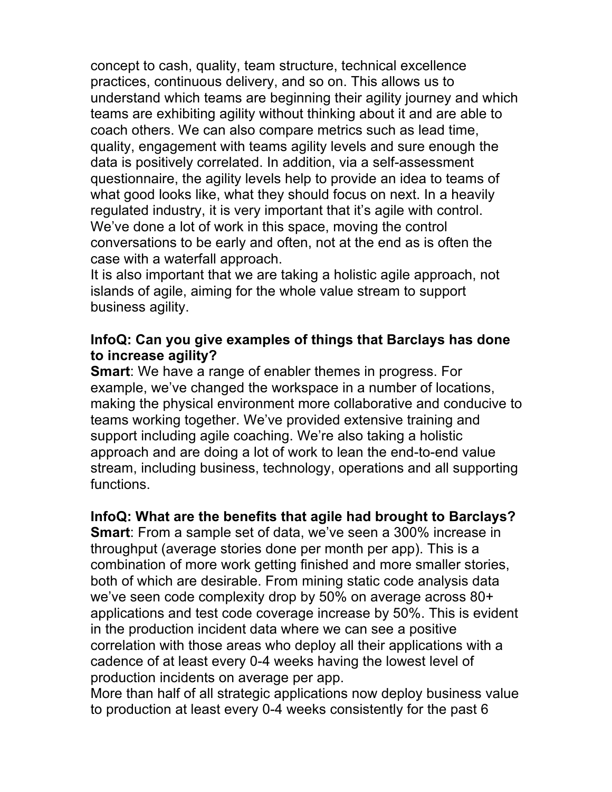concept to cash, quality, team structure, technical excellence practices, continuous delivery, and so on. This allows us to understand which teams are beginning their agility journey and which teams are exhibiting agility without thinking about it and are able to coach others. We can also compare metrics such as lead time, quality, engagement with teams agility levels and sure enough the data is positively correlated. In addition, via a self-assessment questionnaire, the agility levels help to provide an idea to teams of what good looks like, what they should focus on next. In a heavily regulated industry, it is very important that it's agile with control. We've done a lot of work in this space, moving the control conversations to be early and often, not at the end as is often the case with a waterfall approach.

It is also important that we are taking a holistic agile approach, not islands of agile, aiming for the whole value stream to support business agility.

#### **InfoQ: Can you give examples of things that Barclays has done to increase agility?**

**Smart**: We have a range of enabler themes in progress. For example, we've changed the workspace in a number of locations, making the physical environment more collaborative and conducive to teams working together. We've provided extensive training and support including agile coaching. We're also taking a holistic approach and are doing a lot of work to lean the end-to-end value stream, including business, technology, operations and all supporting functions.

# **InfoQ: What are the benefits that agile had brought to Barclays?**

**Smart**: From a sample set of data, we've seen a 300% increase in throughput (average stories done per month per app). This is a combination of more work getting finished and more smaller stories, both of which are desirable. From mining static code analysis data we've seen code complexity drop by 50% on average across 80+ applications and test code coverage increase by 50%. This is evident in the production incident data where we can see a positive correlation with those areas who deploy all their applications with a cadence of at least every 0-4 weeks having the lowest level of production incidents on average per app.

More than half of all strategic applications now deploy business value to production at least every 0-4 weeks consistently for the past 6